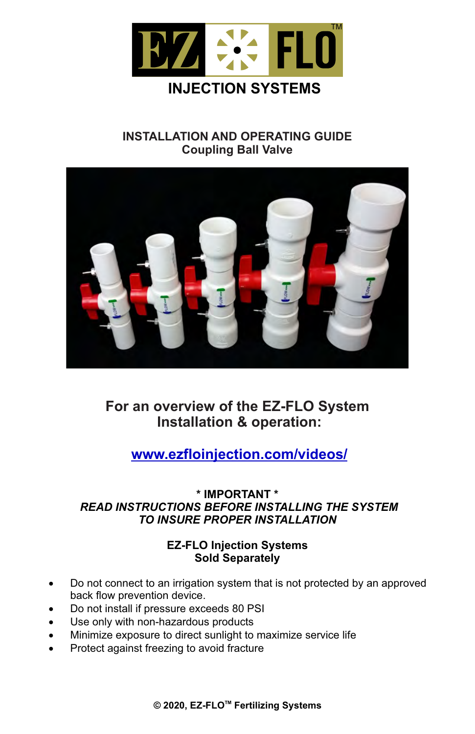

### **INSTALLATION AND OPERATING GUIDE Coupling Ball Valve**



# **For an overview of the EZ-FLO System Installation & operation:**

# **www.ezfloinjection.com/videos/**

### **\* IMPORTANT \***  *READ INSTRUCTIONS BEFORE INSTALLING THE SYSTEM TO INSURE PROPER INSTALLATION*

### **EZ-FLO Injection Systems Sold Separately**

- Do not connect to an irrigation system that is not protected by an approved back flow prevention device.
- Do not install if pressure exceeds 80 PSI
- Use only with non-hazardous products
- Minimize exposure to direct sunlight to maximize service life
- Protect against freezing to avoid fracture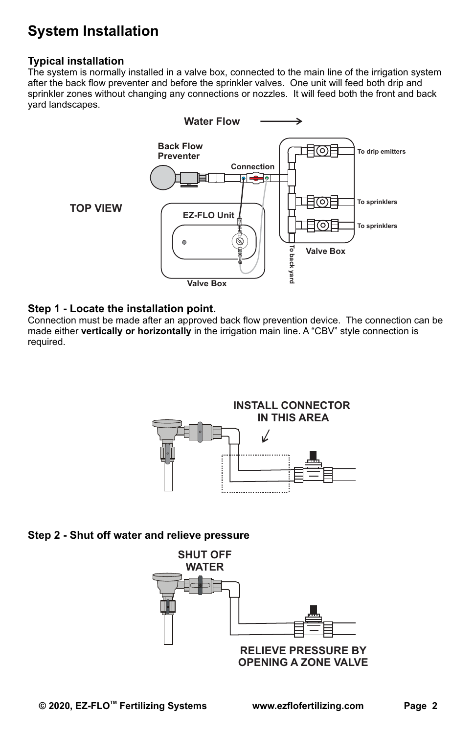# **System Installation**

#### **Typical installation**

The system is normally installed in a valve box, connected to the main line of the irrigation system after the back flow preventer and before the sprinkler valves. One unit will feed both drip and sprinkler zones without changing any connections or nozzles. It will feed both the front and back yard landscapes.



#### **Step 1 - Locate the installation point.**

Connection must be made after an approved back flow prevention device. The connection can be made either **vertically or horizontally** in the irrigation main line. A "CBV" style connection is required.



#### **Step 2 - Shut off water and relieve pressure**

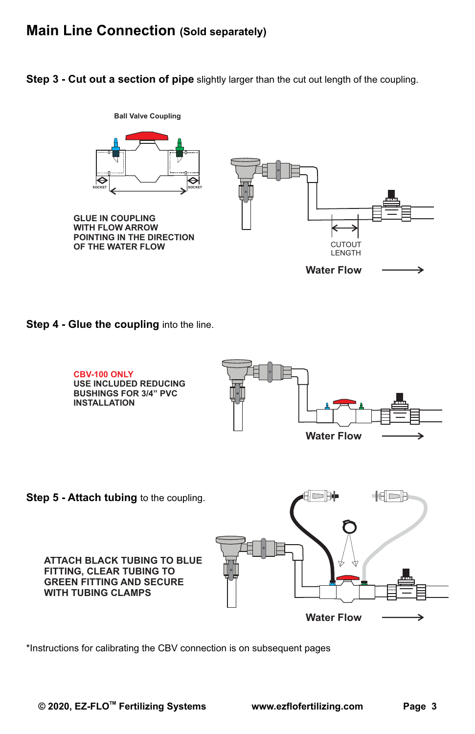## **Main Line Connection (Sold separately)**

**Step 3 - Cut out a section of pipe** slightly larger than the cut out length of the coupling.



**Step 4 - Glue the coupling** into the line.



\*Instructions for calibrating the CBV connection is on subsequent pages